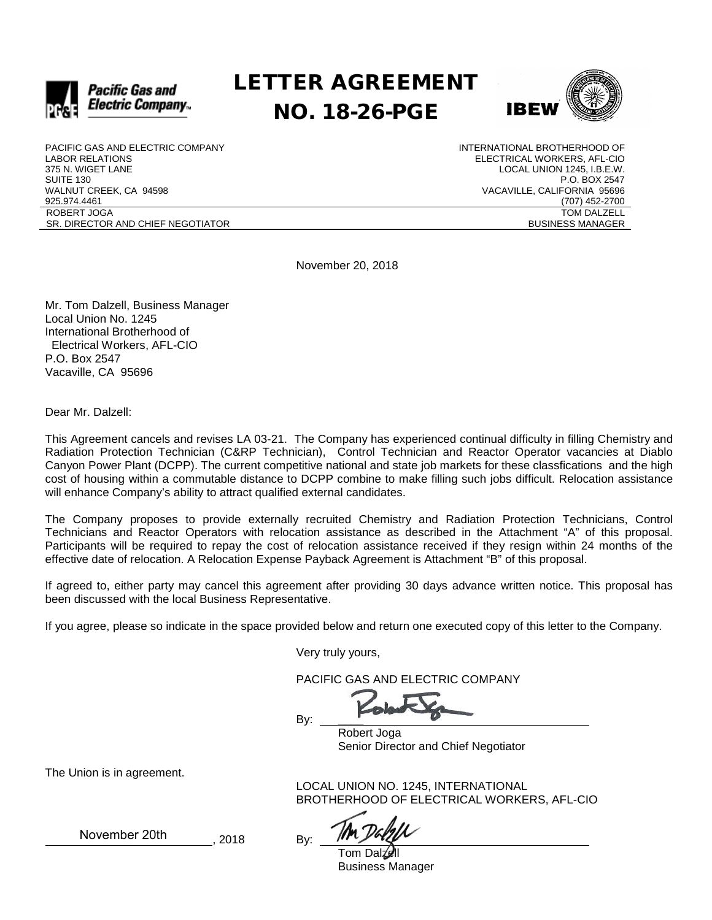

# LETTER AGREEMENT NO. 18-26-PGE



PACIFIC GAS AND ELECTRIC COMPANY LABOR RELATIONS 375 N. WIGET LANE SUITE 130 WALNUT CREEK, CA 94598 925.974.4461 ROBERT JOGA SR. DIRECTOR AND CHIEF NEGOTIATOR INTERNATIONAL BROTHERHOOD OF ELECTRICAL WORKERS, AFL-CIO LOCAL UNION 1245, I.B.E.W. P.O. BOX 2547 VACAVILLE, CALIFORNIA 95696 (707) 452-2700 TOM DALZELL BUSINESS MANAGER

November 20, 2018

Mr. Tom Dalzell, Business Manager Local Union No. 1245 International Brotherhood of Electrical Workers, AFL-CIO P.O. Box 2547 Vacaville, CA 95696

Dear Mr. Dalzell:

This Agreement cancels and revises LA 03-21. The Company has experienced continual difficulty in filling Chemistry and Radiation Protection Technician (C&RP Technician), Control Technician and Reactor Operator vacancies at Diablo Canyon Power Plant (DCPP). The current competitive national and state job markets for these classfications and the high cost of housing within a commutable distance to DCPP combine to make filling such jobs difficult. Relocation assistance will enhance Company's ability to attract qualified external candidates.

The Company proposes to provide externally recruited Chemistry and Radiation Protection Technicians, Control Technicians and Reactor Operators with relocation assistance as described in the Attachment "A" of this proposal. Participants will be required to repay the cost of relocation assistance received if they resign within 24 months of the effective date of relocation. A Relocation Expense Payback Agreement is Attachment "B" of this proposal.

If agreed to, either party may cancel this agreement after providing 30 days advance written notice. This proposal has been discussed with the local Business Representative.

If you agree, please so indicate in the space provided below and return one executed copy of this letter to the Company.

Very truly yours,

PACIFIC GAS AND ELECTRIC COMPANY

By:

Robert Joga Senior Director and Chief Negotiator

The Union is in agreement.

LOCAL UNION NO. 1245, INTERNATIONAL BROTHERHOOD OF ELECTRICAL WORKERS, AFL-CIO

Tom Dalzell Business Manager

November 20th

, 2018 By: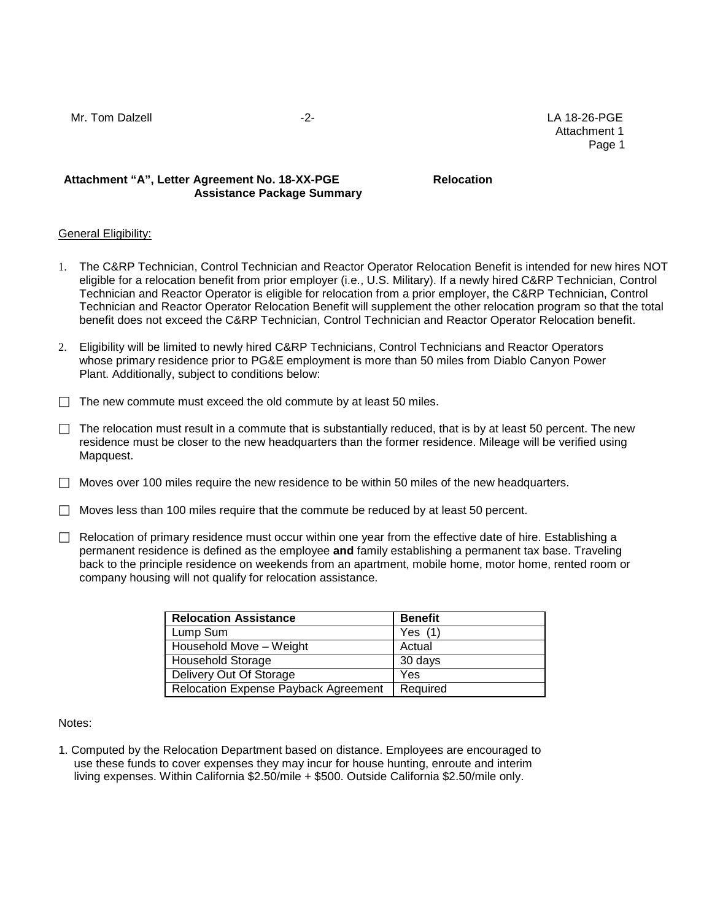Mr. Tom Dalzell -2- LA 18-26-PGE Attachment 1 en de la provincia de la provincia de la provincia de la provincia de la provincia de la provincia de la provi

## Attachment "A", Letter Agreement No. 18-XX-PGE Relocation **Assistance Package Summary**

### **General Eligibility:**

- 1. The C&RP Technician, Control Technician and Reactor Operator Relocation Benefit is intended for new hires NOT eligible for a relocation benefit from prior employer (i.e., U.S. Military). If a newly hired C&RP Technician, Control Technician and Reactor Operator is eligible for relocation from a prior employer, the C&RP Technician, Control Technician and Reactor Operator Relocation Benefit will supplement the other relocation program so that the total benefit does not exceed the C&RP Technician, Control Technician and Reactor Operator Relocation benefit.
- 2. Eligibility will be limited to newly hired C&RP Technicians, Control Technicians and Reactor Operators whose primary residence prior to PG&E employment is more than 50 miles from Diablo Canyon Power Plant. Additionally, subject to conditions below:
- $\Box$  The new commute must exceed the old commute by at least 50 miles.
- $\Box$  The relocation must result in a commute that is substantially reduced, that is by at least 50 percent. The new residence must be closer to the new headquarters than the former residence. Mileage will be verified using Mapquest.
- $\Box$  Moves over 100 miles require the new residence to be within 50 miles of the new headquarters.
- $\Box$  Moves less than 100 miles require that the commute be reduced by at least 50 percent.
- $\Box$  Relocation of primary residence must occur within one year from the effective date of hire. Establishing a permanent residence is defined as the employee **and** family establishing a permanent tax base. Traveling back to the principle residence on weekends from an apartment, mobile home, motor home, rented room or company housing will not qualify for relocation assistance.

| <b>Relocation Assistance</b>         | <b>Benefit</b> |
|--------------------------------------|----------------|
| Lump Sum                             | Yes $(1)$      |
| Household Move - Weight              | Actual         |
| <b>Household Storage</b>             | 30 days        |
| Delivery Out Of Storage              | Yes            |
| Relocation Expense Payback Agreement | Required       |

### Notes:

1. Computed by the Relocation Department based on distance. Employees are encouraged to use these funds to cover expenses they may incur for house hunting, enroute and interim living expenses. Within California \$2.50/mile + \$500. Outside California \$2.50/mile only.